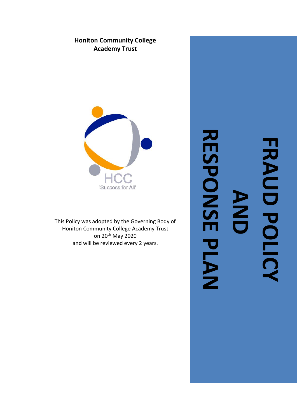# **Honiton Community College Academy Trust**



This Policy was adopted by the Governing Body of Honiton Community College Academy Trust on 20th May 2020 and will be reviewed every 2 years.

# **RESPONSE PLAN**RESPONSE PLAN **FRAUD POLICY FRAUD POLICY AND**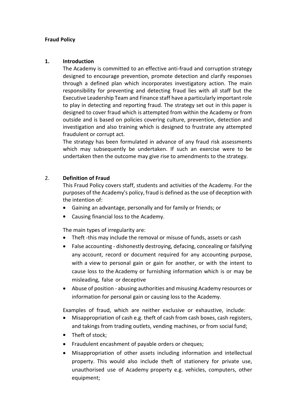#### **Fraud Policy**

#### **1. Introduction**

The Academy is committed to an effective anti-fraud and corruption strategy designed to encourage prevention, promote detection and clarify responses through a defined plan which incorporates investigatory action. The main responsibility for preventing and detecting fraud lies with all staff but the Executive Leadership Team and Finance staff have a particularly important role to play in detecting and reporting fraud. The strategy set out in this paper is designed to cover fraud which is attempted from within the Academy or from outside and is based on policies covering culture, prevention, detection and investigation and also training which is designed to frustrate any attempted fraudulent or corrupt act.

The strategy has been formulated in advance of any fraud risk assessments which may subsequently be undertaken. If such an exercise were to be undertaken then the outcome may give rise to amendments to the strategy.

# 2. **Definition of Fraud**

This Fraud Policy covers staff, students and activities of the Academy. For the purposes of the Academy's policy, fraud is defined as the use of deception with the intention of:

- Gaining an advantage, personally and for family or friends; or
- Causing financial loss to the Academy.

The main types of irregularity are:

- Theft -this may include the removal or misuse of funds, assets or cash
- False accounting dishonestly destroying, defacing, concealing or falsifying any account, record or document required for any accounting purpose, with a view to personal gain or gain for another, or with the intent to cause loss to the Academy or furnishing information which is or may be misleading, false or deceptive
- Abuse of position abusing authorities and misusing Academy resources or information for personal gain or causing loss to the Academy.

Examples of fraud, which are neither exclusive or exhaustive, include:

- Misappropriation of cash e.g. theft of cash from cash boxes, cash registers, and takings from trading outlets, vending machines, or from social fund;
- Theft of stock;
- Fraudulent encashment of payable orders or cheques;
- Misappropriation of other assets including information and intellectual property. This would also include theft of stationery for private use, unauthorised use of Academy property e.g. vehicles, computers, other equipment;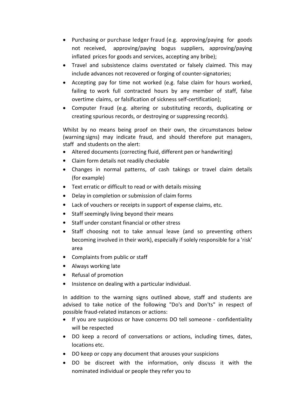- Purchasing or purchase ledger fraud (e.g. approving/paying for goods not received, approving/paying bogus suppliers, approving/paying inflated prices for goods and services, accepting any bribe);
- Travel and subsistence claims overstated or falsely claimed. This may include advances not recovered or forging of counter-signatories;
- Accepting pay for time not worked (e.g. false claim for hours worked, failing to work full contracted hours by any member of staff, false overtime claims, or falsification of sickness self-certification);
- Computer Fraud (e.g. altering or substituting records, duplicating or creating spurious records, or destroying or suppressing records).

Whilst by no means being proof on their own, the circumstances below (warning signs) may indicate fraud, and should therefore put managers, staff and students on the alert:

- Altered documents (correcting fluid, different pen or handwriting)
- Claim form details not readily checkable
- Changes in normal patterns, of cash takings or travel claim details (for example)
- Text erratic or difficult to read or with details missing
- Delay in completion or submission of claim forms
- Lack of vouchers or receipts in support of expense claims, etc.
- Staff seemingly living beyond their means
- Staff under constant financial or other stress
- Staff choosing not to take annual leave (and so preventing others becoming involved in their work), especially if solely responsible for a 'risk' area
- Complaints from public or staff
- Always working late
- Refusal of promotion
- Insistence on dealing with a particular individual.

In addition to the warning signs outlined above, staff and students are advised to take notice of the following "Do's and Don'ts" in respect of possible fraud-related instances or actions:

- If you are suspicious or have concerns DO tell someone confidentiality will be respected
- DO keep a record of conversations or actions, including times, dates, locations etc.
- DO keep or copy any document that arouses your suspicions
- DO be discreet with the information, only discuss it with the nominated individual or people they refer you to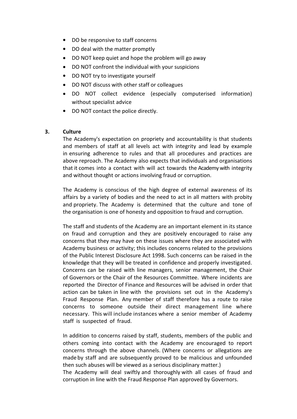- DO be responsive to staff concerns
- DO deal with the matter promptly
- DO NOT keep quiet and hope the problem will go away
- DO NOT confront the individual with your suspicions
- DO NOT try to investigate yourself
- DO NOT discuss with other staff or colleagues
- DO NOT collect evidence (especially computerised information) without specialist advice
- DO NOT contact the police directly.

#### **3. Culture**

The Academy's expectation on propriety and accountability is that students and members of staff at all levels act with integrity and lead by example in ensuring adherence to rules and that all procedures and practices are above reproach. The Academy also expects that individuals and organisations that it comes into a contact with will act towards the Academy with integrity and without thought or actions involving fraud or corruption.

The Academy is conscious of the high degree of external awareness of its affairs by a variety of bodies and the need to act in all matters with probity and propriety. The Academy is determined that the culture and tone of the organisation is one of honesty and opposition to fraud and corruption.

The staff and students of the Academy are an important element in its stance on fraud and corruption and they are positively encouraged to raise any concerns that they may have on these issues where they are associated with Academy business or activity; this includes concerns related to the provisions of the Public Interest Disclosure Act 1998. Such concerns can be raised in the knowledge that they will be treated in confidence and properly investigated. Concerns can be raised with line managers, senior management, the Chair of Governors or the Chair of the Resources Committee. Where incidents are reported the Director of Finance and Resources will be advised in order that action can be taken in line with the provisions set out in the Academy's Fraud Response Plan. Any member of staff therefore has a route to raise concerns to someone outside their direct management line where necessary. This will include instances where a senior member of Academy staff is suspected of fraud.

In addition to concerns raised by staff, students, members of the public and others coming into contact with the Academy are encouraged to report concerns through the above channels. (Where concerns or allegations are made by staff and are subsequently proved to be malicious and unfounded then such abuses will be viewed as a serious disciplinary matter.)

The Academy will deal swiftly and thoroughly with all cases of fraud and corruption in line with the Fraud Response Plan approved by Governors.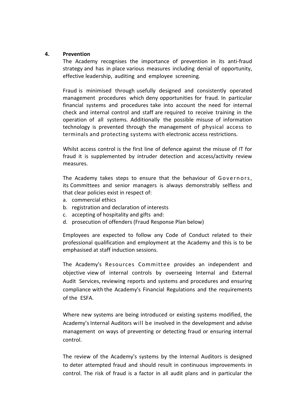#### **4. Prevention**

The Academy recognises the importance of prevention in its anti-fraud strategy and has in place various measures including denial of opportunity, effective leadership, auditing and employee screening.

Fraud is minimised through usefully designed and consistently operated management procedures which deny opportunities for fraud. In particular financial systems and procedures take into account the need for internal check and internal control and staff are required to receive training in the operation of all systems. Additionally the possible misuse of information technology is prevented through the management of physical access to terminals and protecting systems with electronic access restrictions.

Whilst access control is the first line of defence against the misuse of IT for fraud it is supplemented by intruder detection and access/activity review measures.

The Academy takes steps to ensure that the behaviour of Governors, its Committees and senior managers is always demonstrably selfless and that clear policies exist in respect of:

- a. commercial ethics
- b. registration and declaration of interests
- c. accepting of hospitality and gifts and:
- d. prosecution of offenders (Fraud Response Plan below)

Employees are expected to follow any Code of Conduct related to their professional qualification and employment at the Academy and this is to be emphasised at staff induction sessions.

The Academy's Resources Committee provides an independent and objective view of internal controls by overseeing Internal and External Audit Services, reviewing reports and systems and procedures and ensuring compliance with the Academy's Financial Regulations and the requirements of the ESFA.

Where new systems are being introduced or existing systems modified, the Academy's Internal Auditors will be involved in the development and advise management on ways of preventing or detecting fraud or ensuring internal control.

The review of the Academy's systems by the Internal Auditors is designed to deter attempted fraud and should result in continuous improvements in control. The risk of fraud is a factor in all audit plans and in particular the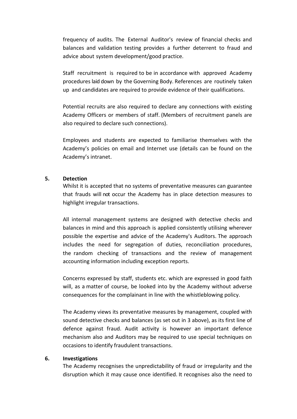frequency of audits. The External Auditor's review of financial checks and balances and validation testing provides a further deterrent to fraud and advice about system development/good practice.

Staff recruitment is required to be in accordance with approved Academy procedures laid down by the Governing Body. References are routinely taken up and candidates are required to provide evidence of their qualifications.

Potential recruits are also required to declare any connections with existing Academy Officers or members of staff. (Members of recruitment panels are also required to declare such connections).

Employees and students are expected to familiarise themselves with the Academy's policies on email and Internet use (details can be found on the Academy's intranet.

#### **5. Detection**

Whilst it is accepted that no systems of preventative measures can guarantee that frauds will not occur the Academy has in place detection measures to highlight irregular transactions.

All internal management systems are designed with detective checks and balances in mind and this approach is applied consistently utilising wherever possible the expertise and advice of the Academy's Auditors. The approach includes the need for segregation of duties, reconciliation procedures, the random checking of transactions and the review of management accounting information including exception reports.

Concerns expressed by staff, students etc. which are expressed in good faith will, as a matter of course, be looked into by the Academy without adverse consequences for the complainant in line with the whistleblowing policy.

The Academy views its preventative measures by management, coupled with sound detective checks and balances (as set out in 3 above), as its first line of defence against fraud. Audit activity is however an important defence mechanism also and Auditors may be required to use special techniques on occasions to identify fraudulent transactions.

#### **6. Investigations**

The Academy recognises the unpredictability of fraud or irregularity and the disruption which it may cause once identified. It recognises also the need to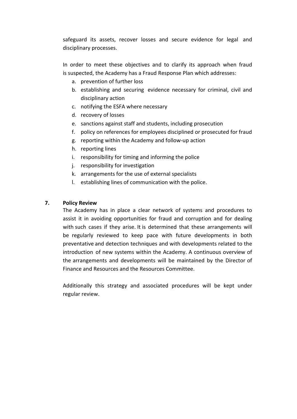safeguard its assets, recover losses and secure evidence for legal and disciplinary processes.

In order to meet these objectives and to clarify its approach when fraud is suspected, the Academy has a Fraud Response Plan which addresses:

- a. prevention of further loss
- b. establishing and securing evidence necessary for criminal, civil and disciplinary action
- c. notifying the ESFA where necessary
- d. recovery of losses
- e. sanctions against staff and students, including prosecution
- f. policy on references for employees disciplined or prosecuted for fraud
- g. reporting within the Academy and follow-up action
- h. reporting lines
- i. responsibility for timing and informing the police
- j. responsibility for investigation
- k. arrangements for the use of external specialists
- l. establishing lines of communication with the police.

# **7. Policy Review**

The Academy has in place a clear network of systems and procedures to assist it in avoiding opportunities for fraud and corruption and for dealing with such cases if they arise. It is determined that these arrangements will be regularly reviewed to keep pace with future developments in both preventative and detection techniques and with developments related to the introduction of new systems within the Academy. A continuous overview of the arrangements and developments will be maintained by the Director of Finance and Resources and the Resources Committee.

Additionally this strategy and associated procedures will be kept under regular review.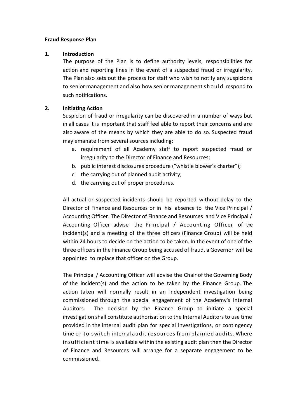#### **Fraud Response Plan**

#### **1. Introduction**

The purpose of the Plan is to define authority levels, responsibilities for action and reporting lines in the event of a suspected fraud or irregularity. The Plan also sets out the process for staff who wish to notify any suspicions to senior management and also how senior management should respond to such notifications.

#### **2. Initiating Action**

Suspicion of fraud or irregularity can be discovered in a number of ways but in all cases it is important that staff feel able to report their concerns and are also aware of the means by which they are able to do so. Suspected fraud may emanate from several sources including:

- a. requirement of all Academy staff to report suspected fraud or irregularity to the Director of Finance and Resources;
- b. public interest disclosures procedure ("whistle blower's charter");
- c. the carrying out of planned audit activity;
- d. the carrying out of proper procedures.

All actual or suspected incidents should be reported without delay to the Director of Finance and Resources or in his absence to the Vice Principal / Accounting Officer. The Director of Finance and Resources and Vice Principal / Accounting Officer advise the Principal / Accounting Officer of the incident(s) and a meeting of the three officers (Finance Group) will be held within 24 hours to decide on the action to be taken. In the event of one of the three officers in the Finance Group being accused of fraud, a Governor will be appointed to replace that officer on the Group.

The Principal / Accounting Officer will advise the Chair of the Governing Body of the incident(s) and the action to be taken by the Finance Group. The action taken will normally result in an independent investigation being commissioned through the special engagement of the Academy's Internal Auditors. The decision by the Finance Group to initiate a special investigation shall constitute authorisation to the Internal Auditorsto use time provided in the internal audit plan for special investigations, or contingency time or to switch internal audit resources from planned audits. Where insufficient time is available within the existing audit plan then the Director of Finance and Resources will arrange for a separate engagement to be commissioned.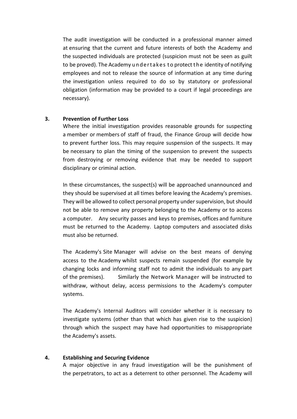The audit investigation will be conducted in a professional manner aimed at ensuring that the current and future interests of both the Academy and the suspected individuals are protected (suspicion must not be seen as guilt to be proved). The Academy u n d ert akes t o protect the identity of notifying employees and not to release the source of information at any time during the investigation unless required to do so by statutory or professional obligation (information may be provided to a court if legal proceedings are necessary).

#### **3. Prevention of Further Loss**

Where the initial investigation provides reasonable grounds for suspecting a member or members of staff of fraud, the Finance Group will decide how to prevent further loss. This may require suspension of the suspects. It may be necessary to plan the timing of the suspension to prevent the suspects from destroying or removing evidence that may be needed to support disciplinary or criminal action.

In these circumstances, the suspect(s) will be approached unannounced and they should be supervised at all times before leaving the Academy's premises. They will be allowed to collect personal property under supervision, but should not be able to remove any property belonging to the Academy or to access a computer. Any security passes and keys to premises, offices and furniture must be returned to the Academy. Laptop computers and associated disks must also be returned.

The Academy's Site Manager will advise on the best means of denying access to the Academy whilst suspects remain suspended (for example by changing locks and informing staff not to admit the individuals to any part of the premises). Similarly the Network Manager will be instructed to withdraw, without delay, access permissions to the Academy's computer systems.

The Academy's Internal Auditors will consider whether it is necessary to investigate systems (other than that which has given rise to the suspicion) through which the suspect may have had opportunities to misappropriate the Academy's assets.

#### **4. Establishing and Securing Evidence**

A major objective in any fraud investigation will be the punishment of the perpetrators, to act as a deterrent to other personnel. The Academy will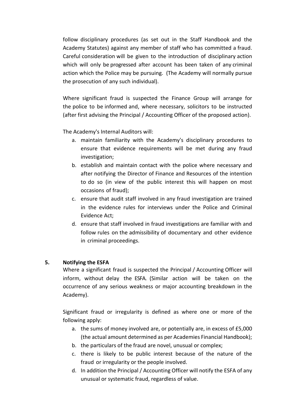follow disciplinary procedures (as set out in the Staff Handbook and the Academy Statutes) against any member of staff who has committed a fraud. Careful consideration will be given to the introduction of disciplinary action which will only be progressed after account has been taken of any criminal action which the Police may be pursuing. (The Academy will normally pursue the prosecution of any such individual).

Where significant fraud is suspected the Finance Group will arrange for the police to be informed and, where necessary, solicitors to be instructed (after first advising the Principal / Accounting Officer of the proposed action).

The Academy's Internal Auditors will:

- a. maintain familiarity with the Academy's disciplinary procedures to ensure that evidence requirements will be met during any fraud investigation;
- b. establish and maintain contact with the police where necessary and after notifying the Director of Finance and Resources of the intention to do so (in view of the public interest this will happen on most occasions of fraud);
- c. ensure that audit staff involved in any fraud investigation are trained in the evidence rules for interviews under the Police and Criminal Evidence Act;
- d. ensure that staff involved in fraud investigations are familiar with and follow rules on the admissibility of documentary and other evidence in criminal proceedings.

# **5. Notifying the ESFA**

Where a significant fraud is suspected the Principal / Accounting Officer will inform, without delay the ESFA. (Similar action will be taken on the occurrence of any serious weakness or major accounting breakdown in the Academy).

Significant fraud or irregularity is defined as where one or more of the following apply:

- a. the sums of money involved are, or potentially are, in excess of £5,000 (the actual amount determined as per Academies Financial Handbook);
- b. the particulars of the fraud are novel, unusual or complex;
- c. there is likely to be public interest because of the nature of the fraud or irregularity or the people involved.
- d. In addition the Principal / Accounting Officer will notify the ESFA of any unusual or systematic fraud, regardless of value.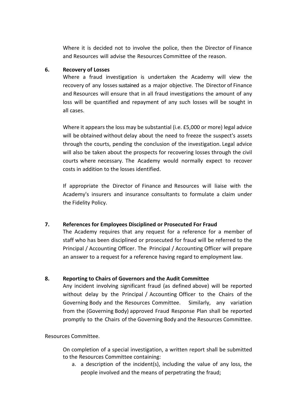Where it is decided not to involve the police, then the Director of Finance and Resources will advise the Resources Committee of the reason.

# **6. Recovery of Losses**

Where a fraud investigation is undertaken the Academy will view the recovery of any losses sustained as a major objective. The Director of Finance and Resources will ensure that in all fraud investigations the amount of any loss will be quantified and repayment of any such losses will be sought in all cases.

Where it appears the loss may be substantial (i.e. £5,000 or more) legal advice will be obtained without delay about the need to freeze the suspect's assets through the courts, pending the conclusion of the investigation. Legal advice will also be taken about the prospects for recovering losses through the civil courts where necessary. The Academy would normally expect to recover costs in addition to the losses identified.

If appropriate the Director of Finance and Resources will liaise with the Academy's insurers and insurance consultants to formulate a claim under the Fidelity Policy.

# **7. References for Employees Disciplined or Prosecuted For Fraud**

The Academy requires that any request for a reference for a member of staff who has been disciplined or prosecuted for fraud will be referred to the Principal / Accounting Officer. The Principal / Accounting Officer will prepare an answer to a request for a reference having regard to employment law.

# **8. Reporting to Chairs of Governors and the Audit Committee**

Any incident involving significant fraud (as defined above) will be reported without delay by the Principal / Accounting Officer to the Chairs of the Governing Body and the Resources Committee. Similarly, any variation from the (Governing Body) approved Fraud Response Plan shall be reported promptly to the Chairs of the Governing Body and the Resources Committee.

# Resources Committee.

On completion of a special investigation, a written report shall be submitted to the Resources Committee containing:

a. a description of the incident(s), including the value of any loss, the people involved and the means of perpetrating the fraud;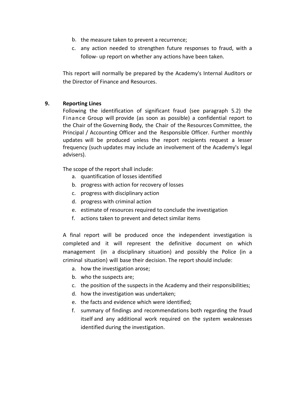- b. the measure taken to prevent a recurrence;
- c. any action needed to strengthen future responses to fraud, with a follow- up report on whether any actions have been taken.

This report will normally be prepared by the Academy's Internal Auditors or the Director of Finance and Resources.

# **9. Reporting Lines**

Following the identification of significant fraud (see paragraph 5.2) the Finan ce Group will provide (as soon as possible) a confidential report to the Chair of the Governing Body, the Chair of the Resources Committee, the Principal / Accounting Officer and the Responsible Officer. Further monthly updates will be produced unless the report recipients request a lesser frequency (such updates may include an involvement of the Academy's legal advisers).

The scope of the report shall include:

- a. quantification of losses identified
- b. progress with action for recovery of losses
- c. progress with disciplinary action
- d. progress with criminal action
- e. estimate of resources required to conclude the investigation
- f. actions taken to prevent and detect similar items

A final report will be produced once the independent investigation is completed and it will represent the definitive document on which management (in a disciplinary situation) and possibly the Police (in a criminal situation) will base their decision. The report should include:

- a. how the investigation arose;
- b. who the suspects are;
- c. the position of the suspects in the Academy and their responsibilities;
- d. how the investigation was undertaken;
- e. the facts and evidence which were identified;
- f. summary of findings and recommendations both regarding the fraud itself and any additional work required on the system weaknesses identified during the investigation.